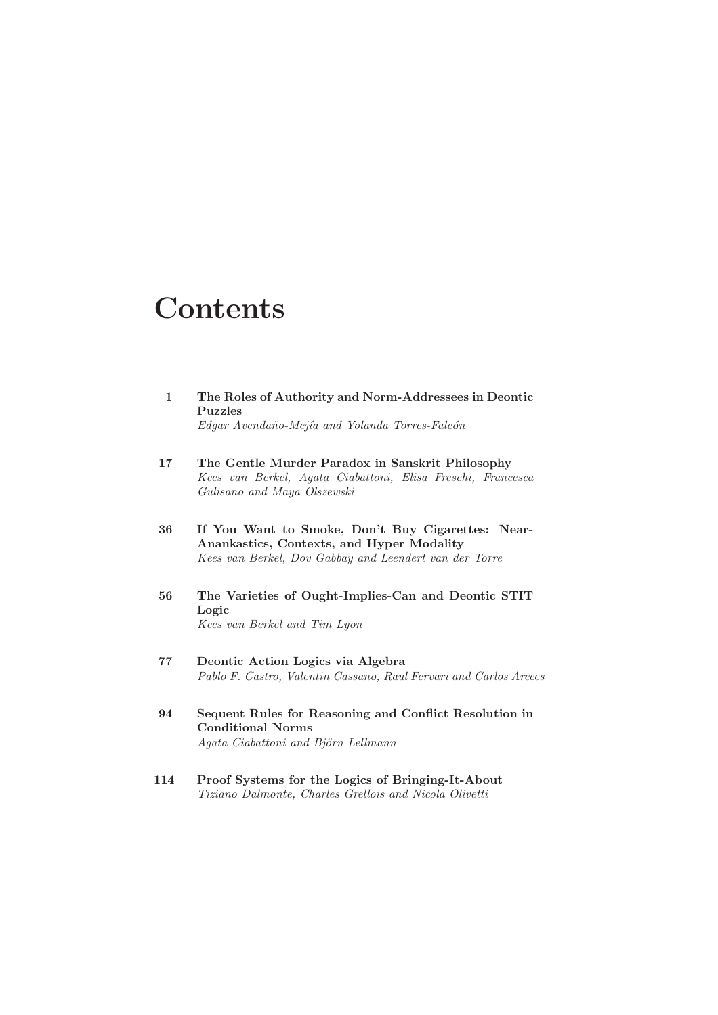## **Contents**

| $\mathbf{1}$ | The Roles of Authority and Norm-Addressees in Deontic<br><b>Puzzles</b><br>Edgar Avendaño-Mejía and Yolanda Torres-Falcón                                |
|--------------|----------------------------------------------------------------------------------------------------------------------------------------------------------|
| 17           | The Gentle Murder Paradox in Sanskrit Philosophy<br>Kees van Berkel, Agata Ciabattoni, Elisa Freschi, Francesca<br>Gulisano and Maya Olszewski           |
| 36           | If You Want to Smoke, Don't Buy Cigarettes: Near-<br>Anankastics, Contexts, and Hyper Modality<br>Kees van Berkel, Dov Gabbay and Leendert van der Torre |
| 56           | The Varieties of Ought-Implies-Can and Deontic STIT<br>Logic<br>Kees van Berkel and Tim Lyon                                                             |
| 77           | Deontic Action Logics via Algebra<br>Pablo F. Castro, Valentin Cassano, Raul Fervari and Carlos Areces                                                   |
| 94           | Sequent Rules for Reasoning and Conflict Resolution in<br><b>Conditional Norms</b><br>Agata Ciabattoni and Björn Lellmann                                |
| 114          | Proof Systems for the Logics of Bringing-It-About<br>Tiziano Dalmonte, Charles Grellois and Nicola Olivetti                                              |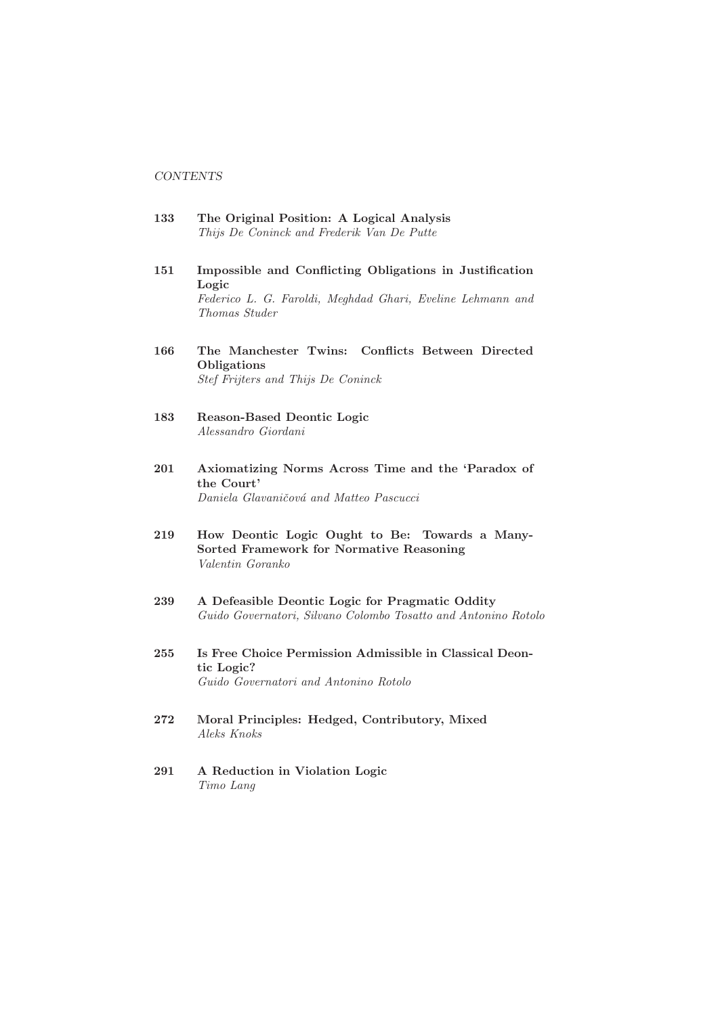## **CONTENTS**

- 133 The Original Position: A Logical Analysis Thijs De Coninck and Frederik Van De Putte
- 151 Impossible and Conflicting Obligations in Justification Logic Federico L. G. Faroldi, Meghdad Ghari, Eveline Lehmann and Thomas Studer
- 166 The Manchester Twins: Conflicts Between Directed **Obligations** Stef Frijters and Thijs De Coninck
- 183 Reason-Based Deontic Logic Alessandro Giordani
- 201 Axiomatizing Norms Across Time and the 'Paradox of the Court' Daniela Glavaničová and Matteo Pascucci
- 219 How Deontic Logic Ought to Be: Towards a Many-Sorted Framework for Normative Reasoning Valentin Goranko
- 239 A Defeasible Deontic Logic for Pragmatic Oddity Guido Governatori, Silvano Colombo Tosatto and Antonino Rotolo
- 255 Is Free Choice Permission Admissible in Classical Deontic Logic? Guido Governatori and Antonino Rotolo
- 272 Moral Principles: Hedged, Contributory, Mixed Aleks Knoks
- 291 A Reduction in Violation Logic Timo Lang